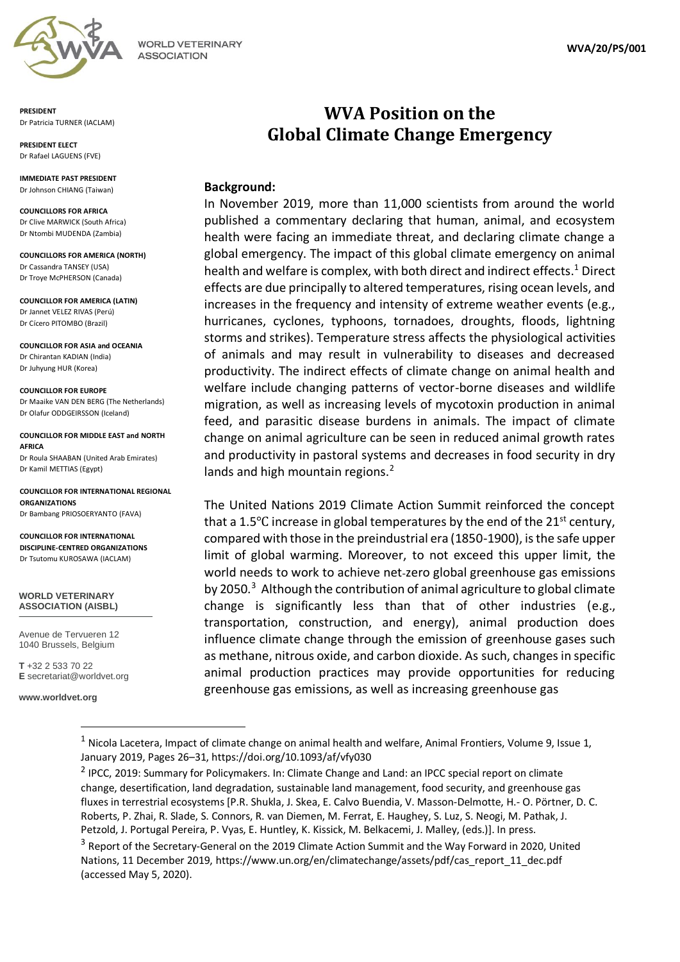

**WORLD VETERINARY ASSOCIATION** 

**PRESIDENT**  Dr Patricia TURNER (IACLAM)

**PRESIDENT ELECT**  Dr Rafael LAGUENS (FVE)

**IMMEDIATE PAST PRESIDENT**  Dr Johnson CHIANG (Taiwan)

**COUNCILLORS FOR AFRICA** Dr Clive MARWICK (South Africa) Dr Ntombi MUDENDA (Zambia)

**COUNCILLORS FOR AMERICA (NORTH)** Dr Cassandra TANSEY (USA) Dr Troye McPHERSON (Canada)

**COUNCILLOR FOR AMERICA (LATIN)** Dr Jannet VELEZ RIVAS (Perú) Dr Cícero PITOMBO (Brazil)

**COUNCILLOR FOR ASIA and OCEANIA** Dr Chirantan KADIAN (India) Dr Juhyung HUR (Korea)

**COUNCILLOR FOR EUROPE** Dr Maaike VAN DEN BERG (The Netherlands) Dr Olafur ODDGEIRSSON (Iceland)

**COUNCILLOR FOR MIDDLE EAST and NORTH AFRICA** Dr Roula SHAABAN (United Arab Emirates) Dr Kamil METTIAS (Egypt)

**COUNCILLOR FOR INTERNATIONAL REGIONAL ORGANIZATIONS** Dr Bambang PRIOSOERYANTO (FAVA)

**COUNCILLOR FOR INTERNATIONAL DISCIPLINE-CENTRED ORGANIZATIONS** Dr Tsutomu KUROSAWA (IACLAM)

**WORLD VETERINARY ASSOCIATION (AISBL)**

Avenue de Tervueren 12 1040 Brussels, Belgium

**T** +32 2 533 70 22 **E** secretariat@worldvet.org

**www.worldvet.org**

## **WVA Position on the Global Climate Change Emergency**

## **Background:**

In November 2019, more than 11,000 scientists from around the world published a commentary declaring that human, animal, and ecosystem health were facing an immediate threat, and declaring climate change a global emergency. The impact of this global climate emergency on animal health and welfare is complex, with both direct and indirect effects.<sup>1</sup> Direct effects are due principally to altered temperatures, rising ocean levels, and increases in the frequency and intensity of extreme weather events (e.g., hurricanes, cyclones, typhoons, tornadoes, droughts, floods, lightning storms and strikes). Temperature stress affects the physiological activities of animals and may result in vulnerability to diseases and decreased productivity. The indirect effects of climate change on animal health and welfare include changing patterns of vector-borne diseases and wildlife migration, as well as increasing levels of mycotoxin production in animal feed, and parasitic disease burdens in animals. The impact of climate change on animal agriculture can be seen in reduced animal growth rates and productivity in pastoral systems and decreases in food security in dry lands and high mountain regions.<sup>2</sup>

The United Nations 2019 Climate Action Summit reinforced the concept that a 1.5<sup>o</sup>C increase in global temperatures by the end of the 21<sup>st</sup> century, compared with those in the preindustrial era (1850-1900), is the safe upper limit of global warming. Moreover, to not exceed this upper limit, the world needs to work to achieve net-zero global greenhouse gas emissions by 2050.<sup>3</sup> Although the contribution of animal agriculture to global climate change is significantly less than that of other industries (e.g., transportation, construction, and energy), animal production does influence climate change through the emission of greenhouse gases such as methane, nitrous oxide, and carbon dioxide. As such, changes in specific animal production practices may provide opportunities for reducing greenhouse gas emissions, as well as increasing greenhouse gas

 $1$  Nicola Lacetera, Impact of climate change on animal health and welfare, Animal Frontiers, Volume 9, Issue 1, January 2019, Pages 26–31, <https://doi.org/10.1093/af/vfy030>

<sup>&</sup>lt;sup>2</sup> IPCC, 2019: Summary for Policymakers. In: Climate Change and Land: an IPCC special report on climate change, desertification, land degradation, sustainable land management, food security, and greenhouse gas fluxes in terrestrial ecosystems [P.R. Shukla, J. Skea, E. Calvo Buendia, V. Masson-Delmotte, H.- O. Pörtner, D. C. Roberts, P. Zhai, R. Slade, S. Connors, R. van Diemen, M. Ferrat, E. Haughey, S. Luz, S. Neogi, M. Pathak, J. Petzold, J. Portugal Pereira, P. Vyas, E. Huntley, K. Kissick, M. Belkacemi, J. Malley, (eds.)]. In press.

<sup>&</sup>lt;sup>3</sup> Report of the Secretary-General on the 2019 Climate Action Summit and the Way Forward in 2020, United Nations, 11 December 2019, [https://www.un.org/en/climatechange/assets/pdf/cas\\_report\\_11\\_dec.pdf](https://www.un.org/en/climatechange/assets/pdf/cas_report_11_dec.pdf) (accessed May 5, 2020).